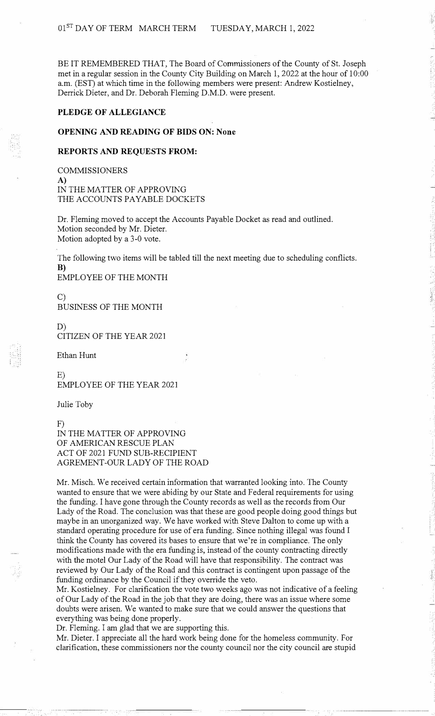BE IT REMEMBERED THAT, The Board of Commissioners of the County of St. Joseph met in a regular session in the County City Building on March 1, 2022 at the hour of 10:00 a.m. (EST) at which time in the following members were present: Andrew Kostielney, Derrick Dieter, and Dr. Deborah Fleming D.M.D. were present.

#### **PLEDGE OF ALLEGIANCE**

## **OPENING AND READING OF BIDS ON: None**

### **REPORTS AND REQUESTS FROM:**

COMMISSIONERS **A)**  IN THE MATTER OF APPROVING THE ACCOUNTS PAYABLE DOCKETS

Dr. Fleming moved to accept the Accounts Payable Docket as read and outlined. Motion seconded by Mr. Dieter. Motion adopted by a 3-0 vote.

The following two items will be tabled till the next meeting due to scheduling conflicts. B)

EMPLOYEE OF THE MONTH

 $\mathcal{C}$ BUSINESS OF THE MONTH

D) CITIZEN OF THE YEAR 2021

Ethan Hunt

E) EMPLOYEE OF THE YEAR 2021

Julie Toby

F)

IN THE MATTER OF APPROVING OF AMERICAN RESCUE PLAN ACT OF 2021 FUND SUB-RECIPIENT AGREMENT-OUR LADY OF THE ROAD

Mr. Misch. We received certain information that warranted looking into. The County wanted to ensure that we were abiding by our State and Federal requirements for using the funding. I have gone through the County records as well as the records from Our Lady of the Road. The conclusion was that these are good people doing good things but maybe in an unorganized way. We have worked with Steve Dalton to come up with a standard operating procedure for use of era funding. Since nothing illegal was found I think the County has covered its bases to ensure that we're in compliance. The only modifications made with the era funding is, instead of the county contracting directly with the motel Our Lady of the Road will have that responsibility. The contract was reviewed by Our Lady of the Road and this contract is contingent upon passage of the funding ordinance by the Council if they override the veto.

Mr. Kostielney. For clarification the vote two weeks ago was not indicative of a feeling of Our Lady of the Road in the job that they are doing, there was an issue where some doubts were arisen. We wanted to make sure that we could answer the questions that everything was being done properly.

Dr. Fleming. I am glad that we are supporting this.

Mr. Dieter. I appreciate all the hard work being done for the homeless community. For clarification, these commissioners nor the county council nor the city council are stupid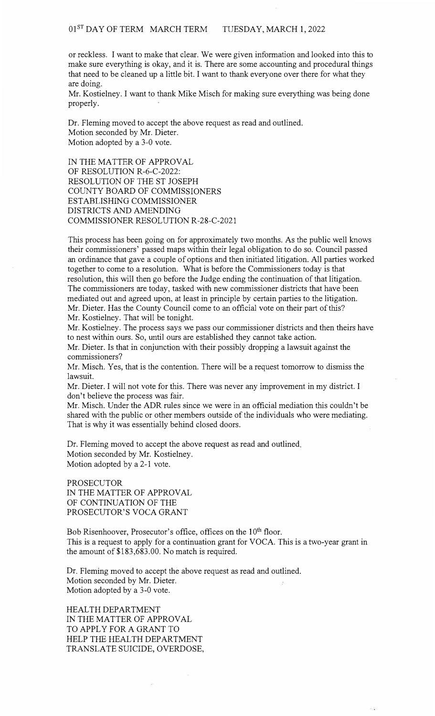or reckless. I want to make that clear. We were given information and looked into this to make sure everything is okay, and it is. There are some accounting and procedural things that need to be cleaned up a little bit. I want to thank everyone over there for what they are doing.

Mr. Kostielney. I want to thank Mike Misch for making sure everything was being done properly.

Dr. Fleming moved to accept the above request as read and outlined. Motion seconded by Mr. Dieter. Motion adopted by a 3-0 vote.

IN THE MATTER OF APPROVAL OF RESOLUTION R-6-C-2022: RESOLUTION OF THE ST JOSEPH COUNTY BOARD OF COMMISSIONERS ESTABLISHING COMMISSIONER DISTRICTS AND AMENDING COMMISSIONER RESOLUTION R-28-C-2021

This process has been going on for approximately two months. As the public well knows their commissioners' passed maps within their legal obligation to do so. Council passed an ordinance that gave a couple of options and then initiated litigation. All parties worked together to come to a resolution. What is before the Commissioners today is that resolution, this will then go before the Judge ending the continuation of that litigation. The commissioners are today, tasked with new commissioner districts that have been mediated out and agreed upon, at least in principle by certain parties to the litigation. Mr. Dieter. Has the County Council come to an official vote on their part of this? Mr. Kostielney. That will be tonight.

Mr. Kostielney. The process says we pass our commissioner districts and then theirs have to nest within ours. So, until ours are established they cannot take action.

Mr. Dieter. Is that in conjunction with their possibly dropping a lawsuit against the commissioners?

Mr. Misch. Yes, that is the contention. There will be a request tomorrow to dismiss the lawsuit.

Mr. Dieter. I will not vote for this. There was never any improvement in my district. I don't believe the process was fair.

Mr. Misch. Under the ADR rules since we were in an official mediation this couldn't be shared with the public or other members outside of the individuals who were mediating. That is why it was essentially behind closed doors.

Dr. Fleming moved to accept the above request as read and outlined. Motion seconded by Mr. Kostielney. Motion adopted by a 2-1 vote.

PROSECUTOR IN THE MATTER OF APPROVAL OF CONTINUATION OF THE PROSECUTOR'S VOCA GRANT

Bob Risenhoover, Prosecutor's office, offices on the  $10<sup>th</sup>$  floor. This is a request to apply for a continuation grant for VOCA. This is a two-year grant in the amount of \$183,683.00. No match is required.

Dr. Fleming moved to accept the above request as read and outlined. Motion seconded by Mr. Dieter. Motion adopted by a 3-0 vote.

HEALTH DEPARTMENT IN THE MATTER OF APPROVAL TO APPLY FOR A GRANT TO HELP THE HEALTH DEPARTMENT TRANSLATE SUICIDE, OVERDOSE,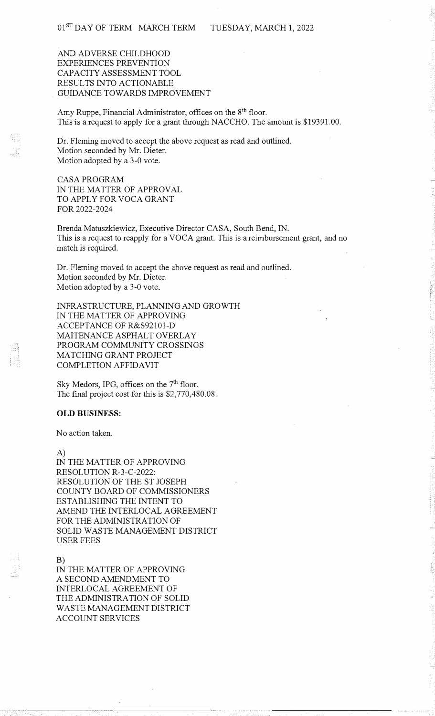## AND ADVERSE CHILDHOOD EXPERIENCES PREVENTION CAPACITY ASSESSMENT TOOL RESULTS INTO ACTIONABLE GUIDANCE TOWARDS IMPROVEMENT

Amy Ruppe, Financial Administrator, offices on the 8<sup>th</sup> floor. This is a request to apply for a grant through NACCHO. The amount is \$19391.00.

Dr. Fleming moved to accept the above request as read and outlined. Motion seconded by Mr. Dieter. Motion adopted by a 3-0 vote.

CASA PROGRAM IN THE MATTER OF APPROVAL TO APPLY FOR VOCA GRANT FOR 2022-2024

Brenda Matuszkiewicz, Executive Director CASA, South Bend, IN. This is a request to reapply for a VOCA grant. This is a reimbursement grant, and no match is required.

Dr. Fleming moved to accept the above request as read and outlined. Motion seconded by Mr. Dieter. Motion adopted by a 3-0 vote.

INFRASTRUCTURE, PLANNING AND GROWTH IN THE MATTER OF APPROVING ACCEPTANCE OF R&S92101-D MAITENANCE ASPHALT OVERLAY PROGRAM COMMUNITY CROSSINGS MATCHING GRANT PROJECT COMPLETION AFFIDAVIT

Sky Medors, IPG, offices on the 7<sup>th</sup> floor. The final project cost for this is \$2,770,480.08.

#### **OLD BUSINESS:**

No action taken.

A)

IN THE MATTER OF APPROVING RESOLUTION R-3-C-2022: RESOLUTION OF THE ST JOSEPH COUNTY BOARD OF COMMISSIONERS ESTABLISHING THE INTENT TO AMEND THE INTERLOCAL AGREEMENT FOR THE ADMINISTRATION OF SOLID WASTE MANAGEMENT DISTRICT USER FEES

B)

IN THE MATTER OF APPROVING A SECOND AMENDMENT TO INTERLOCAL AGREEMENT OF THE ADMINISTRATION OF SOLID WASTE MANAGEMENT DISTRICT ACCOUNT SERVICES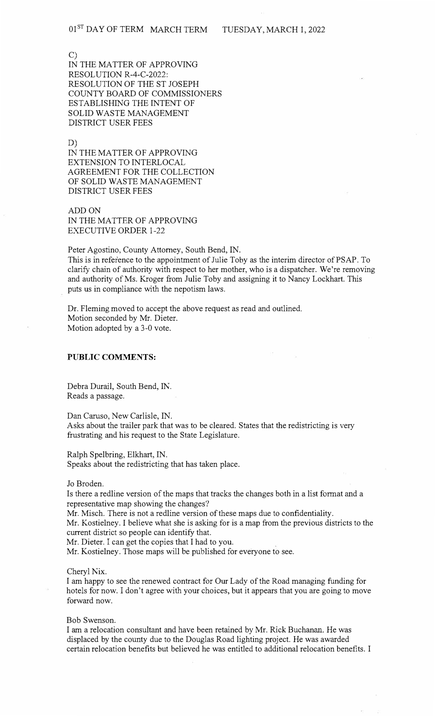C)

IN THE MATTER OF APPROVING RESOLUTION R-4-C-2022: RESOLUTION OF THE ST JOSEPH COUNTY BOARD OF COMMISSIONERS ESTABLISHING THE INTENT OF SOLID WASTE MANAGEMENT DISTRICT USER FEES

D)

IN THE MATTER OF APPROVING EXTENSION TO INTERLOCAL AGREEMENT FOR THE COLLECTION OF SOLID WASTE MANAGEMENT DISTRICT USER FEES

ADD ON IN THE MATTER OF APPROVING EXECUTIVE ORDER 1-22

Peter Agostino, County Attorney, South Bend, IN.

This is in reference to the appointment of Julie Toby as the interim director of PSAP. To clarify chain of authority with respect to her mother, who is a dispatcher. We're removing and authority of Ms. Kroger from Julie Toby and assigning it to Nancy Lockhart. This puts us in compliance with the nepotism laws.

Dr. Fleming moved to accept the above request as read and outlined. Motion seconded by Mr. Dieter. Motion adopted by a 3-0 vote.

### **PUBLIC COMMENTS:**

Debra Durail, South Bend, IN. Reads a passage.

Dan Caruso, New Carlisle, IN.

Asks about the trailer park that was to be cleared. States that the redistricting is very frustrating and his request to the State Legislature.

Ralph Spelbring, Elkhart, IN. Speaks about the redistricting that has taken place.

Jo Broden.

Is there a redline version of the maps that tracks the changes both in a list format and a representative map showing the changes?

Mr. Misch. There is not a redline version of these maps due to confidentiality.

Mr. Kostielney. I believe what she is asking for is a map from the previous districts to the current district so people can identify that.

Mr. Dieter. I can get the copies that I had to you.

Mr. Kostielney. Those maps will be published for everyone to see.

#### Cheryl Nix.

I am happy to see the renewed contract for Our Lady of the Road managing funding for hotels for now. I don't agree with your choices, but it appears that you are going to move forward now.

Bob Swenson.

I am a relocation consultant and have been retained by Mr. Rick Buchanan. He was displaced by the county due to the Douglas Road lighting project. He was awarded certain relocation benefits but believed he was entitled to additional relocation benefits. I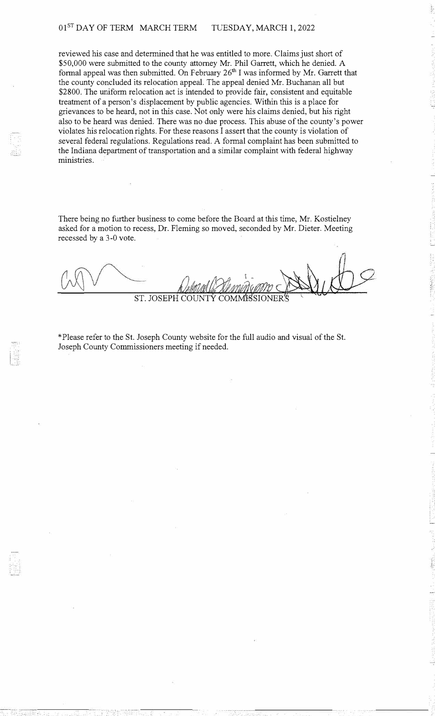# 01<sup>ST</sup> DAY OF TERM MARCH TERM TUESDAY, MARCH 1, 2022

reviewed his case and determined that he was entitled to more. Claims just short of \$50,000 were submitted to the county attorney Mr. Phil Garrett, which he denied. A formal appeal was then submitted. On February  $26<sup>th</sup>$  I was informed by Mr. Garrett that the county concluded its relocation appeal. The appeal denied Mr. Buchanan all but \$2800. The uniform relocation act is intended to provide fair, consistent and equitable treatment of a person's displacement by public agencies. Within this is a place for grievances to be heard, not in this case. Not only were his claims denied, but his right also to be heard was denied. There was no due process. This abuse of the county's power violates his relocation rights. For these reasons I assert that the county is violation of several federal regulations. Regulations read. A formal complaint has been submitted to the Indiana department of transportation and a similar complaint with federal highway ministries.

There being no further business to come before the Board at this time, Mr. Kostielney asked for a motion to recess, Dr. Fleming so moved, seconded by Mr. Dieter. Meeting recessed by a 3-0 vote.

ST. JOSEPH

\*Please refer to the St. Joseph County website for the full audio and visual of the St. Joseph County Commissioners meeting if needed.